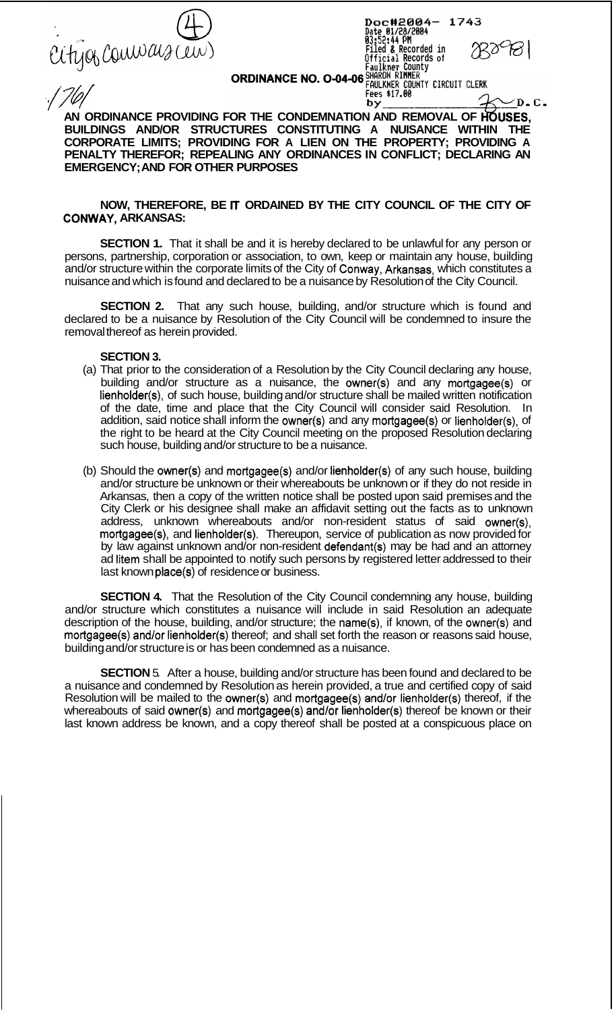

'

| Doc#2004- 1743<br>Date 01/28/2004          |           |
|--------------------------------------------|-----------|
| 03:52:44 PM                                |           |
| Filed & Recorded in<br>Official Records of | $780$ 181 |
| Faulkner County<br>SHARON RIMMER           |           |
| FAULKNER COUNTY CIRCUIT CLERK              |           |
| Fees \$17.00                               | _____     |

/D.C.

**ORDINANCE NO. O-04-06** 

by. **AN ORDINANCE PROVIDING FOR THE CONDEMNATION AND REMOVAL OF h6USES, BUILDINGS AND/OR STRUCTURES CONSTITUTING A NUISANCE WITHIN THE CORPORATE LIMITS; PROVIDING FOR A LIEN ON THE PROPERTY; PROVIDING A PENALTY THEREFOR; REPEALING ANY ORDINANCES IN CONFLICT; DECLARING AN EMERGENCY; AND FOR OTHER PURPOSES** 

## **NOW, THEREFORE, BE** IT **ORDAINED BY THE CITY COUNCIL OF THE CITY OF CONWAY, ARKANSAS:**

**SECTION 1.** That it shall be and it is hereby declared to be unlawful for any person or persons, partnership, corporation or association, to own, keep or maintain any house, building and/or structure within the corporate limits of the City of Conway, Arkansas, which constitutes a nuisance and which is found and declared to be a nuisance by Resolution of the City Council.

**SECTION 2.** That any such house, building, and/or structure which is found and declared to be a nuisance by Resolution of the City Council will be condemned to insure the removal thereof as herein provided.

## **SECTION 3.**

- (a) That prior to the consideration of a Resolution by the City Council declaring any house, building and/or structure as a nuisance, the owner(s) and any mortgagee(s) or lienholder(s), of such house, building and/or structure shall be mailed written notification of the date, time and place that the City Council will consider said Resolution. In addition, said notice shall inform the owner(s) and any mortgagee(s) or lienholder(s), of the right to be heard at the City Council meeting on the proposed Resolution declaring such house, building and/or structure to be a nuisance.
- (b) Should the owner(s) and mortgagee(s) and/or lienholder(s) of any such house, building and/or structure be unknown or their whereabouts be unknown or if they do not reside in Arkansas, then a copy of the written notice shall be posted upon said premises and the City Clerk or his designee shall make an affidavit setting out the facts as to unknown address, unknown whereabouts and/or non-resident status of said owner(s), mortgagee(s), and lienholder(s). Thereupon, service of publication as now provided for by law against unknown and/or non-resident defendant(s) may be had and an attorney ad litem shall be appointed to notify such persons by registered letter addressed to their last known place(s) of residence or business.

**SECTION 4.** That the Resolution of the City Council condemning any house, building and/or structure which constitutes a nuisance will include in said Resolution an adequate description of the house, building, and/or structure; the name(s), if known, of the owner(s) and mortgagee(s) and/or lienholder(s) thereof; and shall set forth the reason or reasons said house, building and/or structure is or has been condemned as a nuisance.

**SECTION** 5. After a house, building and/or structure has been found and declared to be a nuisance and condemned by Resolution as herein provided, a true and certified copy of said Resolution will be mailed to the owner(s) and mortgagee(s) and/or lienholder(s) thereof, if the whereabouts of said owner(s) and mortgagee(s) and/or lienholder(s) thereof be known or their last known address be known, and a copy thereof shall be posted at a conspicuous place on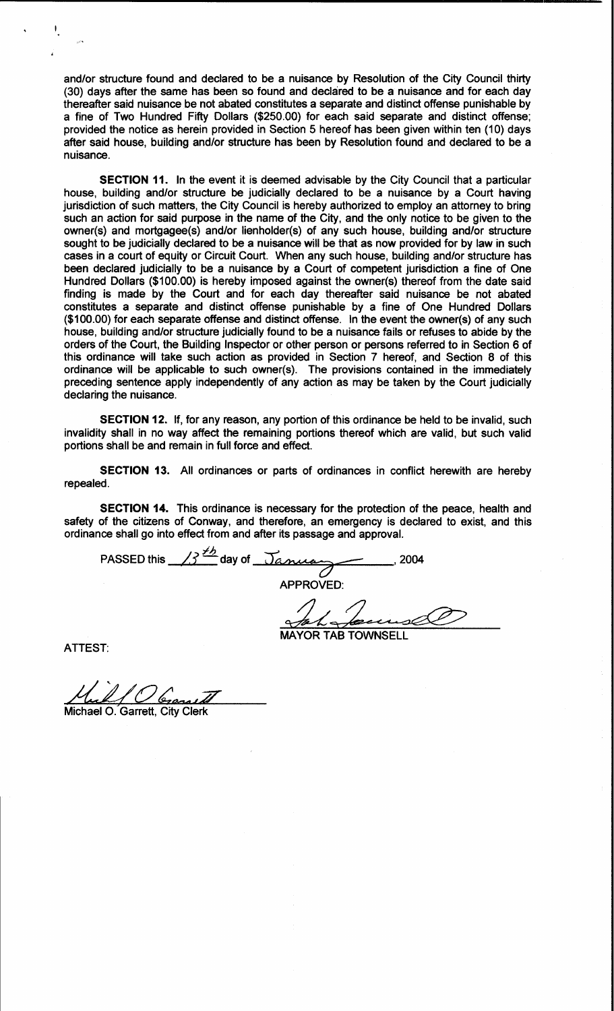and/or structure found and declared to be a nuisance by Resolution of the City Council thirty (30) days after the same has been so found and declared to be a nuisance and for each day thereafter said nuisance be not abated constitutes a separate and distinct offense punishable by a fine of Two Hundred Fifty Dollars (\$250.00) for each said separate and distinct offense; provided the notice as herein provided in Section 5 hereof has been given within ten (10) days after said house, building and/or structure has been by Resolution found and declared to be a nuisance.

SECTION 11. In the event it is deemed advisable by the City Council that a particular house, building and/or structure be judicially declared to be a nuisance by a Court having jurisdiction of such matters, the City Council is hereby authorized to employ an attorney to bring such an action for said purpose in the name of the City, and the only notice to be given to the owner(s) and mortgagee(s) and/or lienholder(s) of any such house, building and/or structure sought to be judicially declared to be a nuisance will be that as now provided for by law in such cases in a court of equity or Circuit Court. When any such house, building and/or structure has been declared judicially to be a nuisance by a Court of competent jurisdiction a fine of One Hundred Dollars (\$100.00) is hereby imposed against the owner(s) thereof from the date said finding is made by the Court and for each day thereafter said nuisance be not abated constitutes a separate and distinct offense punishable by a fine of One Hundred Dollars (\$100.00) for each separate offense and distinct offense. In the event the owner(s) of any such house, building and/or structure judicially found to be a nuisance fails or refuses to abide by the orders of the Court, the Building Inspector or other person or persons referred to in Section 6 of this ordinance will take such action as provided in Section 7 hereof, and Section 8 of this ordinance will be applicable to such owner(s). The provisions contained in the immediately preceding sentence apply independently of any action as may be taken by the Court judicially declaring the nuisance.

SECTION 12. If, for any reason, any portion of this ordinance be held to be invalid, such invalidity shall in no way affect the remaining portions thereof which are valid, but such valid portions shall be and remain in full force and effect.

SECTION 13. All ordinances or parts of ordinances in conflict herewith are hereby repealed.

SECTION 14. This ordinance is necessary for the protection of the peace, health and safety of the citizens of Conway, and therefore, an emergency is declared to exist, and this ordinance shall go into effect from and after its passage and approval.

PASSED this  $\frac{13^{16}}{200}$  day of  $\frac{7}{20}$ APPROVED:

**ATTEST:** 

Michael O. Garrett. City Clerk